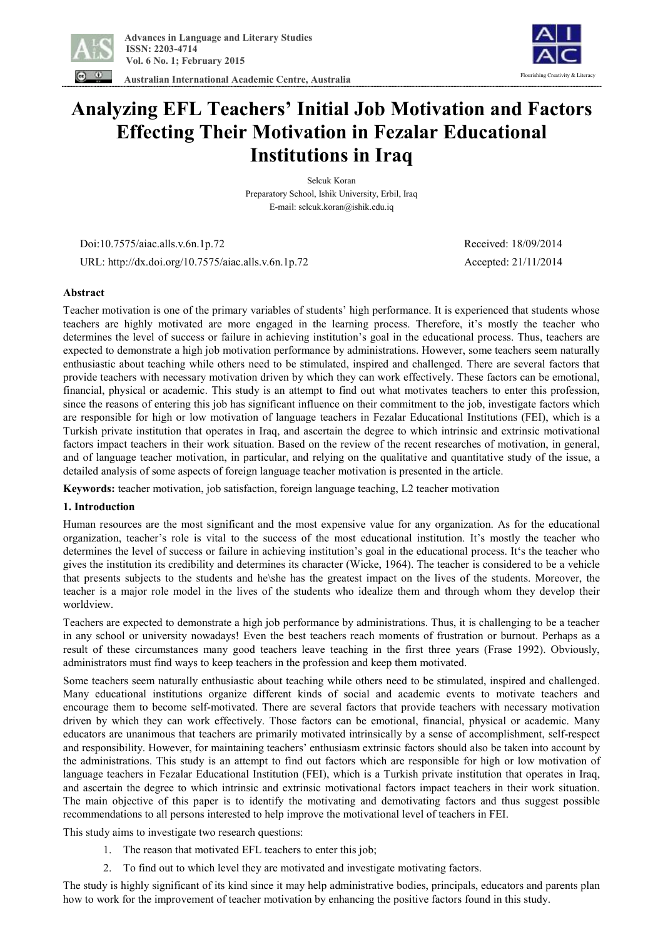

 **Australian International Academic Centre, Australia** 



# **Analyzing EFL Teachers' Initial Job Motivation and Factors Effecting Their Motivation in Fezalar Educational Institutions in Iraq**

Selcuk Koran Preparatory School, Ishik University, Erbil, Iraq E-mail: selcuk.koran@ishik.edu.iq

 Doi:10.7575/aiac.alls.v.6n.1p.72 Received: 18/09/2014 URL: http://dx.doi.org/10.7575/aiac.alls.v.6n.1p.72 Accepted: 21/11/2014

## **Abstract**

Teacher motivation is one of the primary variables of students' high performance. It is experienced that students whose teachers are highly motivated are more engaged in the learning process. Therefore, it's mostly the teacher who determines the level of success or failure in achieving institution's goal in the educational process. Thus, teachers are expected to demonstrate a high job motivation performance by administrations. However, some teachers seem naturally enthusiastic about teaching while others need to be stimulated, inspired and challenged. There are several factors that provide teachers with necessary motivation driven by which they can work effectively. These factors can be emotional, financial, physical or academic. This study is an attempt to find out what motivates teachers to enter this profession, since the reasons of entering this job has significant influence on their commitment to the job, investigate factors which are responsible for high or low motivation of language teachers in Fezalar Educational Institutions (FEI), which is a Turkish private institution that operates in Iraq, and ascertain the degree to which intrinsic and extrinsic motivational factors impact teachers in their work situation. Based on the review of the recent researches of motivation, in general, and of language teacher motivation, in particular, and relying on the qualitative and quantitative study of the issue, a detailed analysis of some aspects of foreign language teacher motivation is presented in the article.

**Keywords:** teacher motivation, job satisfaction, foreign language teaching, L2 teacher motivation

### **1. Introduction**

Human resources are the most significant and the most expensive value for any organization. As for the educational organization, teacher's role is vital to the success of the most educational institution. It's mostly the teacher who determines the level of success or failure in achieving institution's goal in the educational process. It's the teacher who gives the institution its credibility and determines its character (Wicke, 1964). The teacher is considered to be a vehicle that presents subjects to the students and he\she has the greatest impact on the lives of the students. Moreover, the teacher is a major role model in the lives of the students who idealize them and through whom they develop their worldview.

Teachers are expected to demonstrate a high job performance by administrations. Thus, it is challenging to be a teacher in any school or university nowadays! Even the best teachers reach moments of frustration or burnout. Perhaps as a result of these circumstances many good teachers leave teaching in the first three years (Frase 1992). Obviously, administrators must find ways to keep teachers in the profession and keep them motivated.

Some teachers seem naturally enthusiastic about teaching while others need to be stimulated, inspired and challenged. Many educational institutions organize different kinds of social and academic events to motivate teachers and encourage them to become self-motivated. There are several factors that provide teachers with necessary motivation driven by which they can work effectively. Those factors can be emotional, financial, physical or academic. Many educators are unanimous that teachers are primarily motivated intrinsically by a sense of accomplishment, self-respect and responsibility. However, for maintaining teachers' enthusiasm extrinsic factors should also be taken into account by the administrations. This study is an attempt to find out factors which are responsible for high or low motivation of language teachers in Fezalar Educational Institution (FEI), which is a Turkish private institution that operates in Iraq, and ascertain the degree to which intrinsic and extrinsic motivational factors impact teachers in their work situation. The main objective of this paper is to identify the motivating and demotivating factors and thus suggest possible recommendations to all persons interested to help improve the motivational level of teachers in FEI.

This study aims to investigate two research questions:

- 1. The reason that motivated EFL teachers to enter this job;
- 2. To find out to which level they are motivated and investigate motivating factors.

The study is highly significant of its kind since it may help administrative bodies, principals, educators and parents plan how to work for the improvement of teacher motivation by enhancing the positive factors found in this study.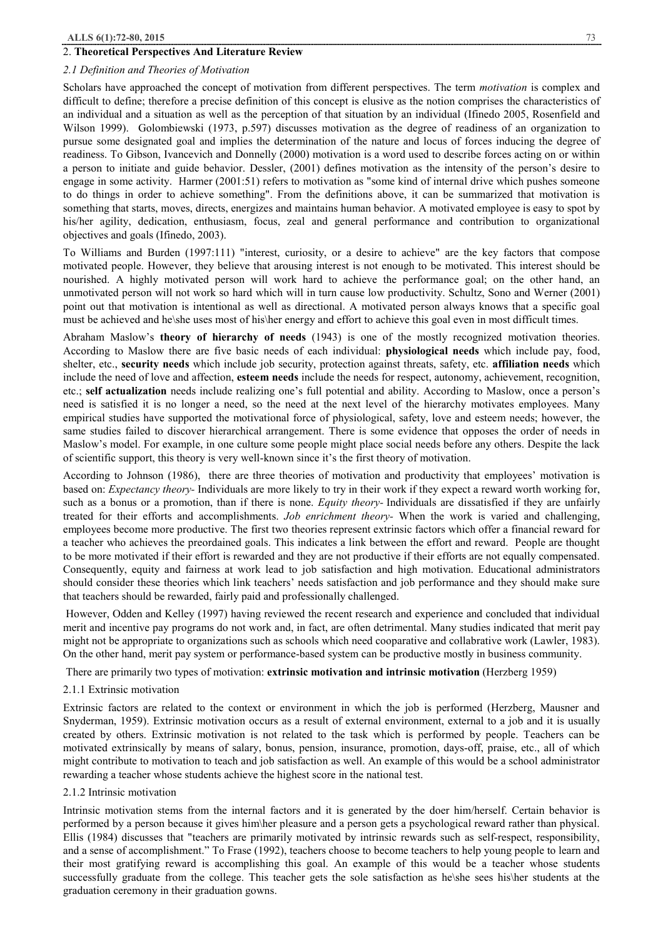## 2. **Theoretical Perspectives And Literature Review**

## *2.1 Definition and Theories of Motivation*

Scholars have approached the concept of motivation from different perspectives. The term *motivation* is complex and difficult to define; therefore a precise definition of this concept is elusive as the notion comprises the characteristics of an individual and a situation as well as the perception of that situation by an individual (Ifinedo 2005, Rosenfield and Wilson 1999). Golombiewski (1973, p.597) discusses motivation as the degree of readiness of an organization to pursue some designated goal and implies the determination of the nature and locus of forces inducing the degree of readiness. To Gibson, Ivancevich and Donnelly (2000) motivation is a word used to describe forces acting on or within a person to initiate and guide behavior. Dessler, (2001) defines motivation as the intensity of the person's desire to engage in some activity. Harmer (2001:51) refers to motivation as "some kind of internal drive which pushes someone to do things in order to achieve something". From the definitions above, it can be summarized that motivation is something that starts, moves, directs, energizes and maintains human behavior. A motivated employee is easy to spot by his/her agility, dedication, enthusiasm, focus, zeal and general performance and contribution to organizational objectives and goals (Ifinedo, 2003).

To Williams and Burden (1997:111) "interest, curiosity, or a desire to achieve" are the key factors that compose motivated people. However, they believe that arousing interest is not enough to be motivated. This interest should be nourished. A highly motivated person will work hard to achieve the performance goal; on the other hand, an unmotivated person will not work so hard which will in turn cause low productivity. Schultz, Sono and Werner (2001) point out that motivation is intentional as well as directional. A motivated person always knows that a specific goal must be achieved and he\she uses most of his\her energy and effort to achieve this goal even in most difficult times.

Abraham Maslow's **theory of hierarchy of needs** (1943) is one of the mostly recognized motivation theories. According to Maslow there are five basic needs of each individual: **physiological needs** which include pay, food, shelter, etc., **security needs** which include job security, protection against threats, safety, etc. **affiliation needs** which include the need of love and affection, **esteem needs** include the needs for respect, autonomy, achievement, recognition, etc.; **self actualization** needs include realizing one's full potential and ability. According to Maslow, once a person's need is satisfied it is no longer a need, so the need at the next level of the hierarchy motivates employees. Many empirical studies have supported the motivational force of physiological, safety, love and esteem needs; however, the same studies failed to discover hierarchical arrangement. There is some evidence that opposes the order of needs in Maslow's model. For example, in one culture some people might place social needs before any others. Despite the lack of scientific support, this theory is very well-known since it's the first theory of motivation.

According to Johnson (1986), there are three theories of motivation and productivity that employees' motivation is based on: *Expectancy theory-* Individuals are more likely to try in their work if they expect a reward worth working for, such as a bonus or a promotion, than if there is none. *Equity theory-* Individuals are dissatisfied if they are unfairly treated for their efforts and accomplishments. *Job enrichment theory-* When the work is varied and challenging, employees become more productive. The first two theories represent extrinsic factors which offer a financial reward for a teacher who achieves the preordained goals. This indicates a link between the effort and reward. People are thought to be more motivated if their effort is rewarded and they are not productive if their efforts are not equally compensated. Consequently, equity and fairness at work lead to job satisfaction and high motivation. Educational administrators should consider these theories which link teachers' needs satisfaction and job performance and they should make sure that teachers should be rewarded, fairly paid and professionally challenged.

However, Odden and Kelley (1997) having reviewed the recent research and experience and concluded that individual merit and incentive pay programs do not work and, in fact, are often detrimental. Many studies indicated that merit pay might not be appropriate to organizations such as schools which need cooparative and collabrative work (Lawler, 1983). On the other hand, merit pay system or performance-based system can be productive mostly in business community.

There are primarily two types of motivation: **extrinsic motivation and intrinsic motivation** (Herzberg 1959)

### 2.1.1 Extrinsic motivation

Extrinsic factors are related to the context or environment in which the job is performed (Herzberg, Mausner and Snyderman, 1959). Extrinsic motivation occurs as a result of external environment, external to a job and it is usually created by others. Extrinsic motivation is not related to the task which is performed by people. Teachers can be motivated extrinsically by means of salary, bonus, pension, insurance, promotion, days-off, praise, etc., all of which might contribute to motivation to teach and job satisfaction as well. An example of this would be a school administrator rewarding a teacher whose students achieve the highest score in the national test.

### 2.1.2 Intrinsic motivation

Intrinsic motivation stems from the internal factors and it is generated by the doer him/herself. Certain behavior is performed by a person because it gives him\her pleasure and a person gets a psychological reward rather than physical. Ellis (1984) discusses that "teachers are primarily motivated by intrinsic rewards such as self-respect, responsibility, and a sense of accomplishment." To Frase (1992), teachers choose to become teachers to help young people to learn and their most gratifying reward is accomplishing this goal. An example of this would be a teacher whose students successfully graduate from the college. This teacher gets the sole satisfaction as he\she sees his\her students at the graduation ceremony in their graduation gowns.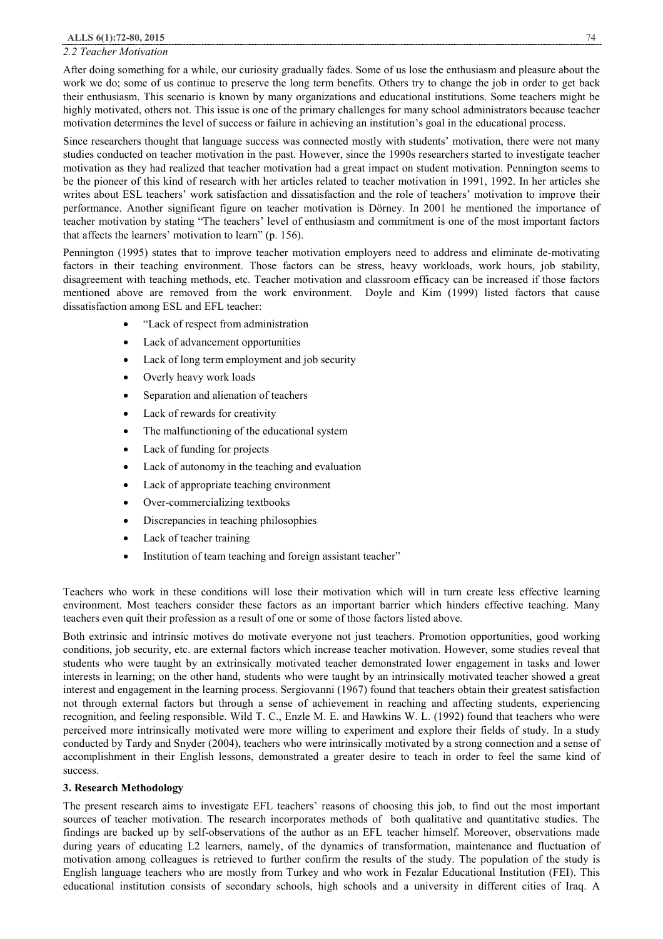## *2.2 Teacher Motivation*

After doing something for a while, our curiosity gradually fades. Some of us lose the enthusiasm and pleasure about the work we do; some of us continue to preserve the long term benefits. Others try to change the job in order to get back their enthusiasm. This scenario is known by many organizations and educational institutions. Some teachers might be highly motivated, others not. This issue is one of the primary challenges for many school administrators because teacher motivation determines the level of success or failure in achieving an institution's goal in the educational process.

Since researchers thought that language success was connected mostly with students' motivation, there were not many studies conducted on teacher motivation in the past. However, since the 1990s researchers started to investigate teacher motivation as they had realized that teacher motivation had a great impact on student motivation. Pennington seems to be the pioneer of this kind of research with her articles related to teacher motivation in 1991, 1992. In her articles she writes about ESL teachers' work satisfaction and dissatisfaction and the role of teachers' motivation to improve their performance. Another significant figure on teacher motivation is Dörney. In 2001 he mentioned the importance of teacher motivation by stating "The teachers' level of enthusiasm and commitment is one of the most important factors that affects the learners' motivation to learn" (p. 156).

Pennington (1995) states that to improve teacher motivation employers need to address and eliminate de-motivating factors in their teaching environment. Those factors can be stress, heavy workloads, work hours, job stability, disagreement with teaching methods, etc. Teacher motivation and classroom efficacy can be increased if those factors mentioned above are removed from the work environment. Doyle and Kim (1999) listed factors that cause dissatisfaction among ESL and EFL teacher:

- · "Lack of respect from administration
- Lack of advancement opportunities
- Lack of long term employment and job security
- Overly heavy work loads
- Separation and alienation of teachers
- Lack of rewards for creativity
- The malfunctioning of the educational system
- Lack of funding for projects
- Lack of autonomy in the teaching and evaluation
- Lack of appropriate teaching environment
- Over-commercializing textbooks
- · Discrepancies in teaching philosophies
- Lack of teacher training
- Institution of team teaching and foreign assistant teacher"

Teachers who work in these conditions will lose their motivation which will in turn create less effective learning environment. Most teachers consider these factors as an important barrier which hinders effective teaching. Many teachers even quit their profession as a result of one or some of those factors listed above.

Both extrinsic and intrinsic motives do motivate everyone not just teachers. Promotion opportunities, good working conditions, job security, etc. are external factors which increase teacher motivation. However, some studies reveal that students who were taught by an extrinsically motivated teacher demonstrated lower engagement in tasks and lower interests in learning; on the other hand, students who were taught by an intrinsically motivated teacher showed a great interest and engagement in the learning process. Sergiovanni (1967) found that teachers obtain their greatest satisfaction not through external factors but through a sense of achievement in reaching and affecting students, experiencing recognition, and feeling responsible. Wild T. C., Enzle M. E. and Hawkins W. L. (1992) found that teachers who were perceived more intrinsically motivated were more willing to experiment and explore their fields of study. In a study conducted by Tardy and Snyder (2004), teachers who were intrinsically motivated by a strong connection and a sense of accomplishment in their English lessons, demonstrated a greater desire to teach in order to feel the same kind of success.

### **3. Research Methodology**

The present research aims to investigate EFL teachers' reasons of choosing this job, to find out the most important sources of teacher motivation. The research incorporates methods of both qualitative and quantitative studies. The findings are backed up by self-observations of the author as an EFL teacher himself. Moreover, observations made during years of educating L2 learners, namely, of the dynamics of transformation, maintenance and fluctuation of motivation among colleagues is retrieved to further confirm the results of the study. The population of the study is English language teachers who are mostly from Turkey and who work in Fezalar Educational Institution (FEI). This educational institution consists of secondary schools, high schools and a university in different cities of Iraq. A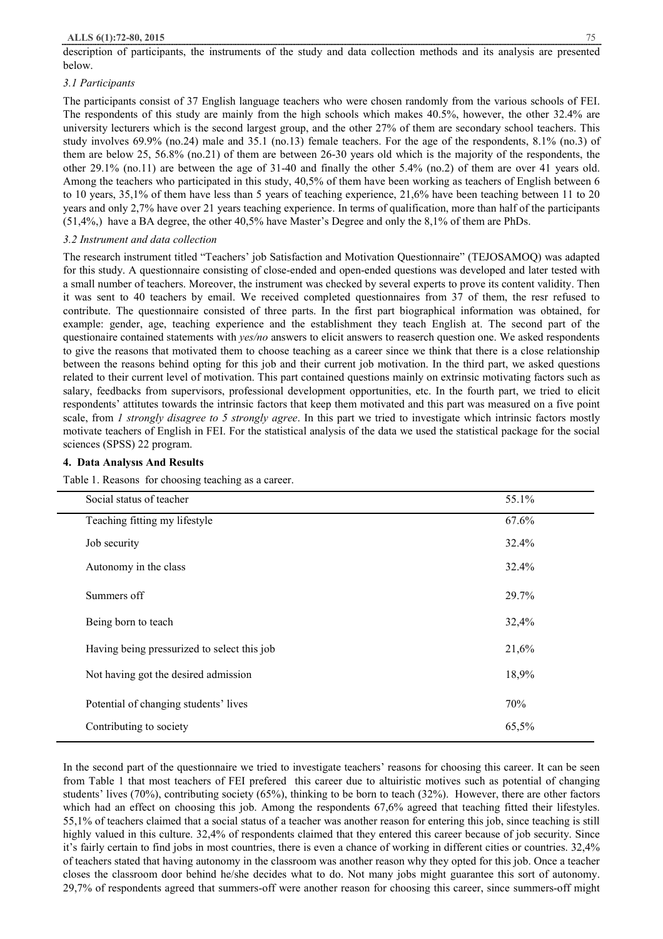description of participants, the instruments of the study and data collection methods and its analysis are presented below.

## *3.1 Participants*

The participants consist of 37 English language teachers who were chosen randomly from the various schools of FEI. The respondents of this study are mainly from the high schools which makes 40.5%, however, the other 32.4% are university lecturers which is the second largest group, and the other 27% of them are secondary school teachers. This study involves 69.9% (no.24) male and 35.1 (no.13) female teachers. For the age of the respondents, 8.1% (no.3) of them are below 25, 56.8% (no.21) of them are between 26-30 years old which is the majority of the respondents, the other 29.1% (no.11) are between the age of 31-40 and finally the other 5.4% (no.2) of them are over 41 years old. Among the teachers who participated in this study, 40,5% of them have been working as teachers of English between 6 to 10 years, 35,1% of them have less than 5 years of teaching experience, 21,6% have been teaching between 11 to 20 years and only 2,7% have over 21 years teaching experience. In terms of qualification, more than half of the participants (51,4%,) have a BA degree, the other 40,5% have Master's Degree and only the 8,1% of them are PhDs.

## *3.2 Instrument and data collection*

The research instrument titled "Teachers' job Satisfaction and Motivation Questionnaire" (TEJOSAMOQ) was adapted for this study. A questionnaire consisting of close-ended and open-ended questions was developed and later tested with a small number of teachers. Moreover, the instrument was checked by several experts to prove its content validity. Then it was sent to 40 teachers by email. We received completed questionnaires from 37 of them, the resr refused to contribute. The questionnaire consisted of three parts. In the first part biographical information was obtained, for example: gender, age, teaching experience and the establishment they teach English at. The second part of the questionaire contained statements with *yes/no* answers to elicit answers to reaserch question one. We asked respondents to give the reasons that motivated them to choose teaching as a career since we think that there is a close relationship between the reasons behind opting for this job and their current job motivation. In the third part, we asked questions related to their current level of motivation. This part contained questions mainly on extrinsic motivating factors such as salary, feedbacks from supervisors, professional development opportunities, etc. In the fourth part, we tried to elicit respondents' attitutes towards the intrinsic factors that keep them motivated and this part was measured on a five point scale, from *1 strongly disagree to 5 strongly agree*. In this part we tried to investigate which intrinsic factors mostly motivate teachers of English in FEI. For the statistical analysis of the data we used the statistical package for the social sciences (SPSS) 22 program.

## **4. Data Analysıs And Results**

Table 1. Reasons for choosing teaching as a career.

| Social status of teacher                    | 55.1% |
|---------------------------------------------|-------|
| Teaching fitting my lifestyle               | 67.6% |
| Job security                                | 32.4% |
| Autonomy in the class                       | 32.4% |
| Summers off                                 | 29.7% |
| Being born to teach                         | 32,4% |
| Having being pressurized to select this job | 21,6% |
| Not having got the desired admission        | 18,9% |
| Potential of changing students' lives       | 70%   |
| Contributing to society                     | 65,5% |

In the second part of the questionnaire we tried to investigate teachers' reasons for choosing this career. It can be seen from Table 1 that most teachers of FEI prefered this career due to altuiristic motives such as potential of changing students' lives (70%), contributing society (65%), thinking to be born to teach (32%). However, there are other factors which had an effect on choosing this job. Among the respondents 67,6% agreed that teaching fitted their lifestyles. 55,1% of teachers claimed that a social status of a teacher was another reason for entering this job, since teaching is still highly valued in this culture. 32,4% of respondents claimed that they entered this career because of job security. Since it's fairly certain to find jobs in most countries, there is even a chance of working in different cities or countries. 32,4% of teachers stated that having autonomy in the classroom was another reason why they opted for this job. Once a teacher closes the classroom door behind he/she decides what to do. Not many jobs might guarantee this sort of autonomy. 29,7% of respondents agreed that summers-off were another reason for choosing this career, since summers-off might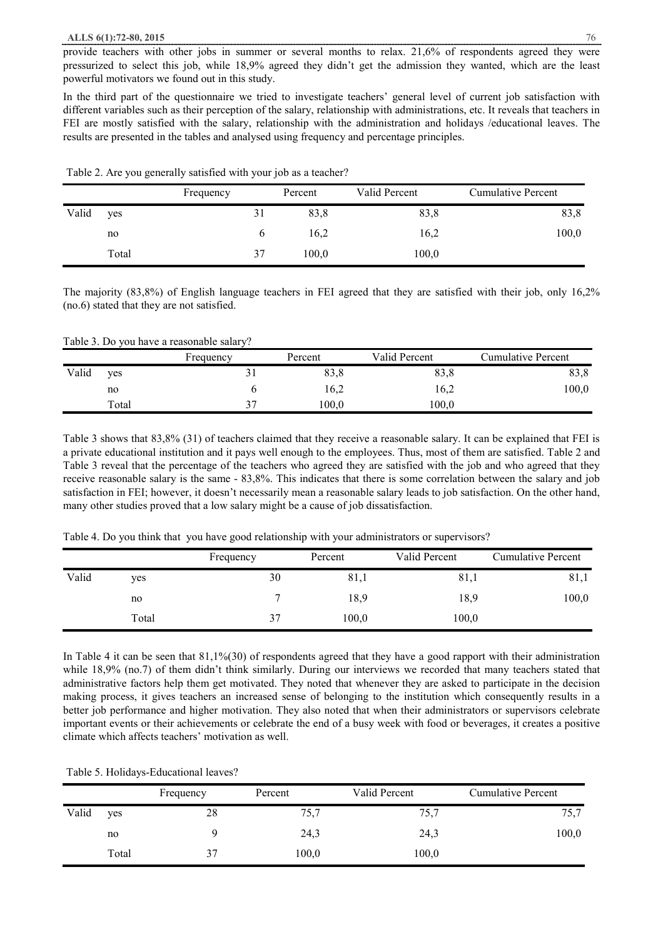#### **ALLS 6(1):72-80, 2015** 76

provide teachers with other jobs in summer or several months to relax. 21,6% of respondents agreed they were pressurized to select this job, while 18,9% agreed they didn't get the admission they wanted, which are the least powerful motivators we found out in this study.

In the third part of the questionnaire we tried to investigate teachers' general level of current job satisfaction with different variables such as their perception of the salary, relationship with administrations, etc. It reveals that teachers in FEI are mostly satisfied with the salary, relationship with the administration and holidays /educational leaves. The results are presented in the tables and analysed using frequency and percentage principles.

| Table 2. Are you generally satisfied with your job as a teacher? |  |
|------------------------------------------------------------------|--|
|------------------------------------------------------------------|--|

|       |       | Frequency | Percent | Valid Percent | <b>Cumulative Percent</b> |
|-------|-------|-----------|---------|---------------|---------------------------|
| Valid | yes   | 31        | 83,8    | 83,8          | 83,8                      |
|       | no    |           | 16,2    | 16,2          | 100,0                     |
|       | Total | 37        | 100,0   | 100,0         |                           |

The majority (83,8%) of English language teachers in FEI agreed that they are satisfied with their job, only 16,2% (no.6) stated that they are not satisfied.

Table 3. Do you have a reasonable salary?

|       |       | Frequency | Percent | Valid Percent | <b>Cumulative Percent</b> |
|-------|-------|-----------|---------|---------------|---------------------------|
| Valid | yes   |           | 83,8    | 83.8          | 83,8                      |
|       | no    |           | 16,2    | 16,2          | 100,0                     |
|       | Total | 37        | 100.0   | 100.0         |                           |

Table 3 shows that 83,8% (31) of teachers claimed that they receive a reasonable salary. It can be explained that FEI is a private educational institution and it pays well enough to the employees. Thus, most of them are satisfied. Table 2 and Table 3 reveal that the percentage of the teachers who agreed they are satisfied with the job and who agreed that they receive reasonable salary is the same - 83,8%. This indicates that there is some correlation between the salary and job satisfaction in FEI; however, it doesn't necessarily mean a reasonable salary leads to job satisfaction. On the other hand, many other studies proved that a low salary might be a cause of job dissatisfaction.

|       |       | Frequency | Percent | Valid Percent | <b>Cumulative Percent</b> |
|-------|-------|-----------|---------|---------------|---------------------------|
| Valid | ves   | 30        | 81,1    | 81,1          | 81,1                      |
|       | no    |           | 18,9    | 18,9          | 100,0                     |
|       | Total | 37        | 100,0   | 100,0         |                           |

In Table 4 it can be seen that  $81,1\%$  (30) of respondents agreed that they have a good rapport with their administration while 18,9% (no.7) of them didn't think similarly. During our interviews we recorded that many teachers stated that administrative factors help them get motivated. They noted that whenever they are asked to participate in the decision making process, it gives teachers an increased sense of belonging to the institution which consequently results in a better job performance and higher motivation. They also noted that when their administrators or supervisors celebrate important events or their achievements or celebrate the end of a busy week with food or beverages, it creates a positive climate which affects teachers' motivation as well.

Table 5. Holidays-Educational leaves?

|       |       | Frequency | Percent | Valid Percent | <b>Cumulative Percent</b> |
|-------|-------|-----------|---------|---------------|---------------------------|
| Valid | yes   | 28        | 75,7    | 75,7          | 75,7                      |
|       | no    |           | 24,3    | 24,3          | 100,0                     |
|       | Total | 37        | 100,0   | 100,0         |                           |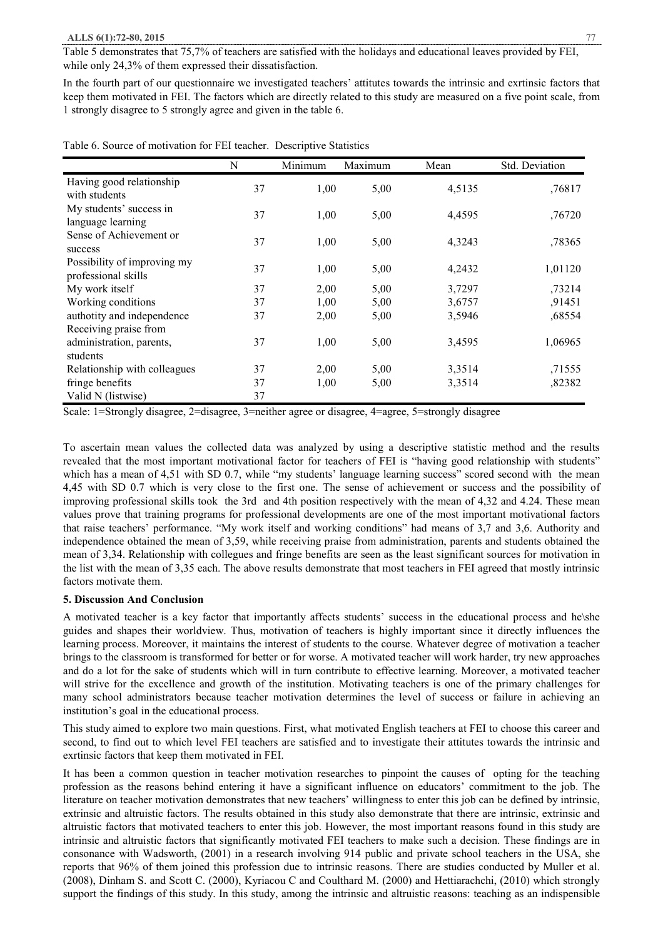#### **ALLS 6(1):72-80, 2015** 77

Table 5 demonstrates that 75,7% of teachers are satisfied with the holidays and educational leaves provided by FEI, while only 24,3% of them expressed their dissatisfaction.

In the fourth part of our questionnaire we investigated teachers' attitutes towards the intrinsic and exrtinsic factors that keep them motivated in FEI. The factors which are directly related to this study are measured on a five point scale, from 1 strongly disagree to 5 strongly agree and given in the table 6.

|                                                    | N  | Minimum | Maximum | Mean   | Std. Deviation |
|----------------------------------------------------|----|---------|---------|--------|----------------|
| Having good relationship<br>with students          | 37 | 1,00    | 5,00    | 4,5135 | ,76817         |
| My students' success in<br>language learning       | 37 | 1,00    | 5,00    | 4,4595 | ,76720         |
| Sense of Achievement or<br>success                 | 37 | 1,00    | 5,00    | 4,3243 | ,78365         |
| Possibility of improving my<br>professional skills | 37 | 1,00    | 5,00    | 4,2432 | 1,01120        |
| My work itself                                     | 37 | 2,00    | 5,00    | 3,7297 | ,73214         |
| Working conditions                                 | 37 | 1,00    | 5,00    | 3,6757 | ,91451         |
| authotity and independence                         | 37 | 2,00    | 5,00    | 3,5946 | ,68554         |
| Receiving praise from                              |    |         |         |        |                |
| administration, parents,                           | 37 | 1,00    | 5,00    | 3,4595 | 1,06965        |
| students                                           |    |         |         |        |                |
| Relationship with colleagues                       | 37 | 2,00    | 5,00    | 3,3514 | ,71555         |
| fringe benefits                                    | 37 | 1,00    | 5,00    | 3,3514 | ,82382         |
| Valid N (listwise)                                 | 37 |         |         |        |                |

Table 6. Source of motivation for FEI teacher. Descriptive Statistics

Scale: 1=Strongly disagree, 2=disagree, 3=neither agree or disagree, 4=agree, 5=strongly disagree

To ascertain mean values the collected data was analyzed by using a descriptive statistic method and the results revealed that the most important motivational factor for teachers of FEI is "having good relationship with students" which has a mean of 4,51 with SD 0.7, while "my students' language learning success" scored second with the mean 4,45 with SD 0.7 which is very close to the first one. The sense of achievement or success and the possibility of improving professional skills took the 3rd and 4th position respectively with the mean of 4,32 and 4.24. These mean values prove that training programs for professional developments are one of the most important motivational factors that raise teachers' performance. "My work itself and working conditions" had means of 3,7 and 3,6. Authority and independence obtained the mean of 3,59, while receiving praise from administration, parents and students obtained the mean of 3,34. Relationship with collegues and fringe benefits are seen as the least significant sources for motivation in the list with the mean of 3,35 each. The above results demonstrate that most teachers in FEI agreed that mostly intrinsic factors motivate them.

### **5. Discussion And Conclusion**

A motivated teacher is a key factor that importantly affects students' success in the educational process and he\she guides and shapes their worldview. Thus, motivation of teachers is highly important since it directly influences the learning process. Moreover, it maintains the interest of students to the course. Whatever degree of motivation a teacher brings to the classroom is transformed for better or for worse. A motivated teacher will work harder, try new approaches and do a lot for the sake of students which will in turn contribute to effective learning. Moreover, a motivated teacher will strive for the excellence and growth of the institution. Motivating teachers is one of the primary challenges for many school administrators because teacher motivation determines the level of success or failure in achieving an institution's goal in the educational process.

This study aimed to explore two main questions. First, what motivated English teachers at FEI to choose this career and second, to find out to which level FEI teachers are satisfied and to investigate their attitutes towards the intrinsic and exrtinsic factors that keep them motivated in FEI.

It has been a common question in teacher motivation researches to pinpoint the causes of opting for the teaching profession as the reasons behind entering it have a significant influence on educators' commitment to the job. The literature on teacher motivation demonstrates that new teachers' willingness to enter this job can be defined by intrinsic, extrinsic and altruistic factors. The results obtained in this study also demonstrate that there are intrinsic, extrinsic and altruistic factors that motivated teachers to enter this job. However, the most important reasons found in this study are intrinsic and altruistic factors that significantly motivated FEI teachers to make such a decision. These findings are in consonance with Wadsworth, (2001) in a research involving 914 public and private school teachers in the USA, she reports that 96% of them joined this profession due to intrinsic reasons. There are studies conducted by Muller et al. (2008), Dinham S. and Scott C. (2000), Kyriacou C and Coulthard M. (2000) and Hettiarachchi, (2010) which strongly support the findings of this study. In this study, among the intrinsic and altruistic reasons: teaching as an indispensible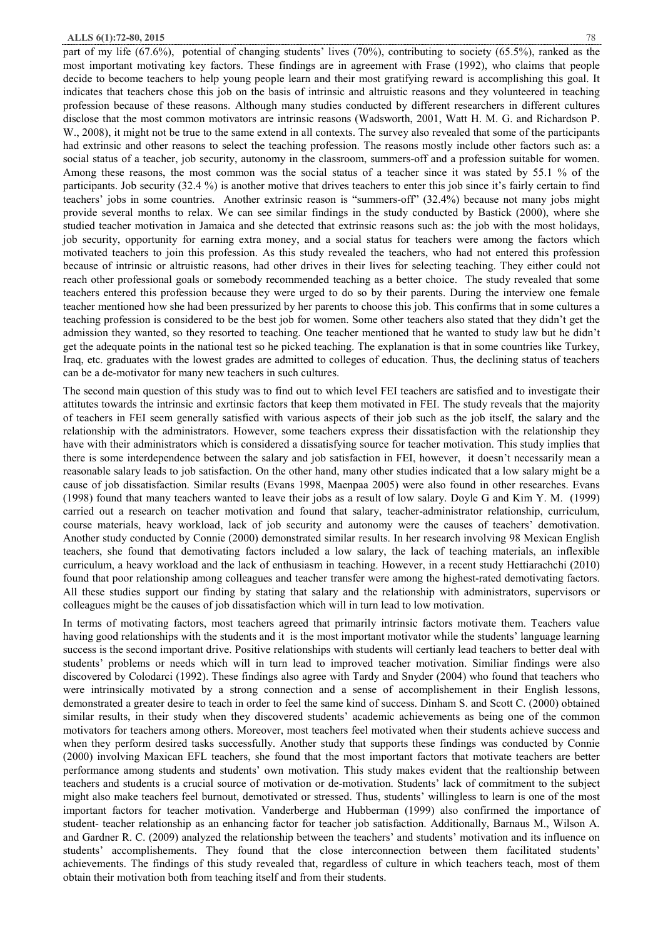part of my life (67.6%), potential of changing students' lives (70%), contributing to society (65.5%), ranked as the most important motivating key factors. These findings are in agreement with Frase (1992), who claims that people decide to become teachers to help young people learn and their most gratifying reward is accomplishing this goal. It indicates that teachers chose this job on the basis of intrinsic and altruistic reasons and they volunteered in teaching profession because of these reasons. Although many studies conducted by different researchers in different cultures disclose that the most common motivators are intrinsic reasons (Wadsworth, 2001, Watt H. M. G. and Richardson P. W., 2008), it might not be true to the same extend in all contexts. The survey also revealed that some of the participants had extrinsic and other reasons to select the teaching profession. The reasons mostly include other factors such as: a social status of a teacher, job security, autonomy in the classroom, summers-off and a profession suitable for women. Among these reasons, the most common was the social status of a teacher since it was stated by 55.1 % of the participants. Job security (32.4 %) is another motive that drives teachers to enter this job since it's fairly certain to find teachers' jobs in some countries. Another extrinsic reason is "summers-off" (32.4%) because not many jobs might provide several months to relax. We can see similar findings in the study conducted by Bastick (2000), where she studied teacher motivation in Jamaica and she detected that extrinsic reasons such as: the job with the most holidays, job security, opportunity for earning extra money, and a social status for teachers were among the factors which motivated teachers to join this profession. As this study revealed the teachers, who had not entered this profession because of intrinsic or altruistic reasons, had other drives in their lives for selecting teaching. They either could not reach other professional goals or somebody recommended teaching as a better choice. The study revealed that some teachers entered this profession because they were urged to do so by their parents. During the interview one female teacher mentioned how she had been pressurized by her parents to choose this job. This confirms that in some cultures a teaching profession is considered to be the best job for women. Some other teachers also stated that they didn't get the admission they wanted, so they resorted to teaching. One teacher mentioned that he wanted to study law but he didn't get the adequate points in the national test so he picked teaching. The explanation is that in some countries like Turkey, Iraq, etc. graduates with the lowest grades are admitted to colleges of education. Thus, the declining status of teachers can be a de-motivator for many new teachers in such cultures.

The second main question of this study was to find out to which level FEI teachers are satisfied and to investigate their attitutes towards the intrinsic and exrtinsic factors that keep them motivated in FEI. The study reveals that the majority of teachers in FEI seem generally satisfied with various aspects of their job such as the job itself, the salary and the relationship with the administrators. However, some teachers express their dissatisfaction with the relationship they have with their administrators which is considered a dissatisfying source for teacher motivation. This study implies that there is some interdependence between the salary and job satisfaction in FEI, however, it doesn't necessarily mean a reasonable salary leads to job satisfaction. On the other hand, many other studies indicated that a low salary might be a cause of job dissatisfaction. Similar results (Evans 1998, Maenpaa 2005) were also found in other researches. Evans (1998) found that many teachers wanted to leave their jobs as a result of low salary. Doyle G and Kim Y. M. (1999) carried out a research on teacher motivation and found that salary, teacher-administrator relationship, curriculum, course materials, heavy workload, lack of job security and autonomy were the causes of teachers' demotivation. Another study conducted by Connie (2000) demonstrated similar results. In her research involving 98 Mexican English teachers, she found that demotivating factors included a low salary, the lack of teaching materials, an inflexible curriculum, a heavy workload and the lack of enthusiasm in teaching. However, in a recent study Hettiarachchi (2010) found that poor relationship among colleagues and teacher transfer were among the highest-rated demotivating factors. All these studies support our finding by stating that salary and the relationship with administrators, supervisors or colleagues might be the causes of job dissatisfaction which will in turn lead to low motivation.

In terms of motivating factors, most teachers agreed that primarily intrinsic factors motivate them. Teachers value having good relationships with the students and it is the most important motivator while the students' language learning success is the second important drive. Positive relationships with students will certianly lead teachers to better deal with students' problems or needs which will in turn lead to improved teacher motivation. Similiar findings were also discovered by Colodarci (1992). These findings also agree with Tardy and Snyder (2004) who found that teachers who were intrinsically motivated by a strong connection and a sense of accomplishement in their English lessons, demonstrated a greater desire to teach in order to feel the same kind of success. Dinham S. and Scott C. (2000) obtained similar results, in their study when they discovered students' academic achievements as being one of the common motivators for teachers among others. Moreover, most teachers feel motivated when their students achieve success and when they perform desired tasks successfully. Another study that supports these findings was conducted by Connie (2000) involving Maxican EFL teachers, she found that the most important factors that motivate teachers are better performance among students and students' own motivation. This study makes evident that the realtionship between teachers and students is a crucial source of motivation or de-motivation. Students' lack of commitment to the subject might also make teachers feel burnout, demotivated or stressed. Thus, students' willingless to learn is one of the most important factors for teacher motivation. Vanderberge and Hubberman (1999) also confirmed the importance of student- teacher relationship as an enhancing factor for teacher job satisfaction. Additionally, Barnaus M., Wilson A. and Gardner R. C. (2009) analyzed the relationship between the teachers' and students' motivation and its influence on students' accomplishements. They found that the close interconnection between them facilitated students' achievements. The findings of this study revealed that, regardless of culture in which teachers teach, most of them obtain their motivation both from teaching itself and from their students.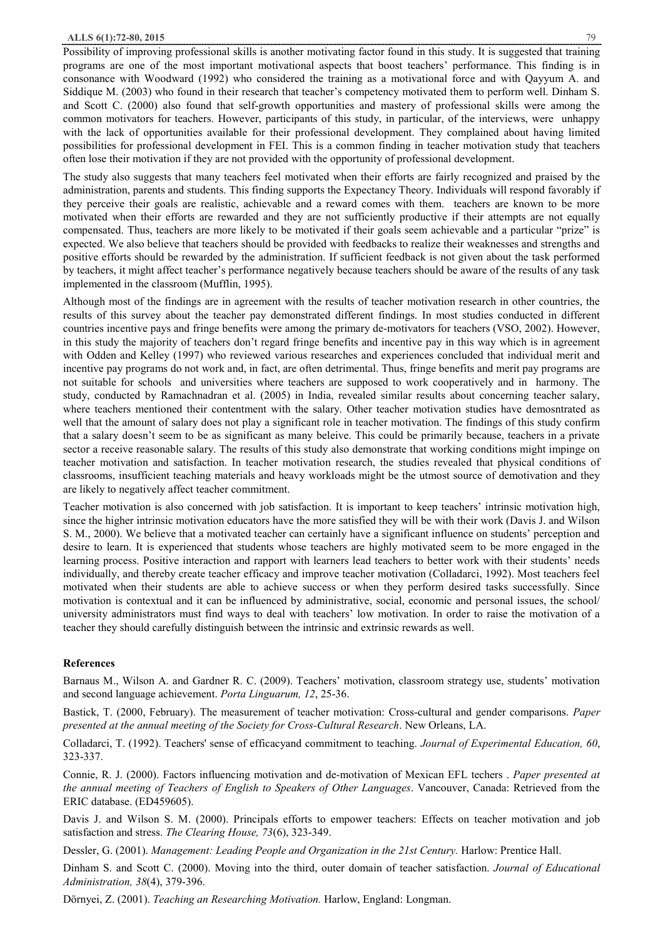Possibility of improving professional skills is another motivating factor found in this study. It is suggested that training programs are one of the most important motivational aspects that boost teachers' performance. This finding is in consonance with Woodward (1992) who considered the training as a motivational force and with Qayyum A. and Siddique M. (2003) who found in their research that teacher's competency motivated them to perform well. Dinham S. and Scott C. (2000) also found that self-growth opportunities and mastery of professional skills were among the common motivators for teachers. However, participants of this study, in particular, of the interviews, were unhappy with the lack of opportunities available for their professional development. They complained about having limited possibilities for professional development in FEI. This is a common finding in teacher motivation study that teachers often lose their motivation if they are not provided with the opportunity of professional development.

The study also suggests that many teachers feel motivated when their efforts are fairly recognized and praised by the administration, parents and students. This finding supports the Expectancy Theory. Individuals will respond favorably if they perceive their goals are realistic, achievable and a reward comes with them. teachers are known to be more motivated when their efforts are rewarded and they are not sufficiently productive if their attempts are not equally compensated. Thus, teachers are more likely to be motivated if their goals seem achievable and a particular "prize" is expected. We also believe that teachers should be provided with feedbacks to realize their weaknesses and strengths and positive efforts should be rewarded by the administration. If sufficient feedback is not given about the task performed by teachers, it might affect teacher's performance negatively because teachers should be aware of the results of any task implemented in the classroom (Mufflin, 1995).

Although most of the findings are in agreement with the results of teacher motivation research in other countries, the results of this survey about the teacher pay demonstrated different findings. In most studies conducted in different countries incentive pays and fringe benefits were among the primary de-motivators for teachers (VSO, 2002). However, in this study the majority of teachers don't regard fringe benefits and incentive pay in this way which is in agreement with Odden and Kelley (1997) who reviewed various researches and experiences concluded that individual merit and incentive pay programs do not work and, in fact, are often detrimental. Thus, fringe benefits and merit pay programs are not suitable for schools and universities where teachers are supposed to work cooperatively and in harmony. The study, conducted by Ramachnadran et al. (2005) in India, revealed similar results about concerning teacher salary, where teachers mentioned their contentment with the salary. Other teacher motivation studies have demosntrated as well that the amount of salary does not play a significant role in teacher motivation. The findings of this study confirm that a salary doesn't seem to be as significant as many beleive. This could be primarily because, teachers in a private sector a receive reasonable salary. The results of this study also demonstrate that working conditions might impinge on teacher motivation and satisfaction. In teacher motivation research, the studies revealed that physical conditions of classrooms, insufficient teaching materials and heavy workloads might be the utmost source of demotivation and they are likely to negatively affect teacher commitment.

Teacher motivation is also concerned with job satisfaction. It is important to keep teachers' intrinsic motivation high, since the higher intrinsic motivation educators have the more satisfied they will be with their work (Davis J. and Wilson S. M., 2000). We believe that a motivated teacher can certainly have a significant influence on students' perception and desire to learn. It is experienced that students whose teachers are highly motivated seem to be more engaged in the learning process. Positive interaction and rapport with learners lead teachers to better work with their students' needs individually, and thereby create teacher efficacy and improve teacher motivation (Colladarci, 1992). Most teachers feel motivated when their students are able to achieve success or when they perform desired tasks successfully. Since motivation is contextual and it can be influenced by administrative, social, economic and personal issues, the school/ university administrators must find ways to deal with teachers' low motivation. In order to raise the motivation of a teacher they should carefully distinguish between the intrinsic and extrinsic rewards as well.

### **References**

Barnaus M., Wilson A. and Gardner R. C. (2009). Teachers' motivation, classroom strategy use, students' motivation and second language achievement. *Porta Linguarum, 12*, 25-36.

Bastick, T. (2000, February). The measurement of teacher motivation: Cross-cultural and gender comparisons. *Paper presented at the annual meeting of the Society for Cross-Cultural Research*. New Orleans, LA.

Colladarci, T. (1992). Teachers' sense of efficacyand commitment to teaching. *Journal of Experimental Education, 60*, 323-337.

Connie, R. J. (2000). Factors influencing motivation and de-motivation of Mexican EFL techers . *Paper presented at the annual meeting of Teachers of English to Speakers of Other Languages*. Vancouver, Canada: Retrieved from the ERIC database. (ED459605).

Davis J. and Wilson S. M. (2000). Principals efforts to empower teachers: Effects on teacher motivation and job satisfaction and stress. *The Clearing House, 73*(6), 323-349.

Dessler, G. (2001). *Management: Leading People and Organization in the 21st Century.* Harlow: Prentice Hall.

Dinham S. and Scott C. (2000). Moving into the third, outer domain of teacher satisfaction. *Journal of Educational Administration, 38*(4), 379-396.

Dörnyei, Z. (2001). *Teaching an Researching Motivation.* Harlow, England: Longman.